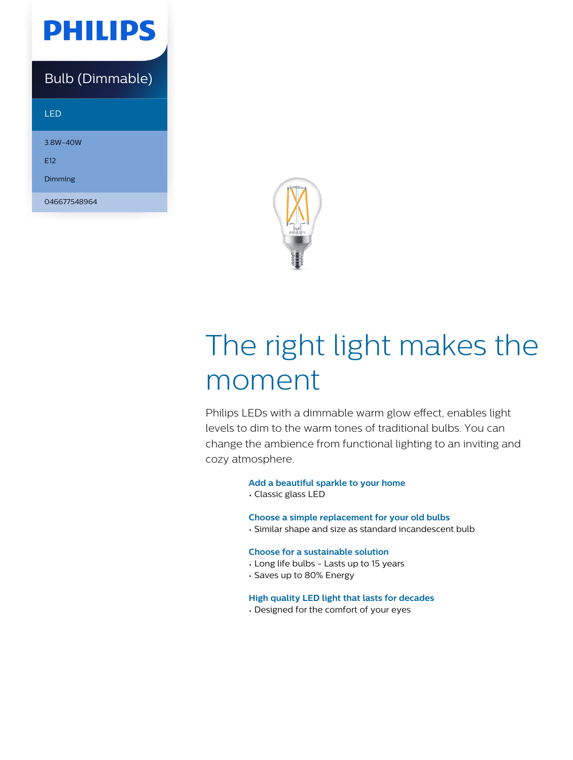

### Bulb (Dimmable)

LED

3.8W-40W E12

Dimming

046677548964



# The right light makes the moment

Philips LEDs with a dimmable warm glow effect, enables light levels to dim to the warm tones of traditional bulbs. You can change the ambience from functional lighting to an inviting and cozy atmosphere.

#### **Add a beautiful sparkle to your home**

• Classic glass LED

#### **Choose a simple replacement for your old bulbs**

• Similar shape and size as standard incandescent bulb

#### **Choose for a sustainable solution**

- Long life bulbs Lasts up to 15 years
- Saves up to 80% Energy

#### **High quality LED light that lasts for decades**

• Designed for the comfort of your eyes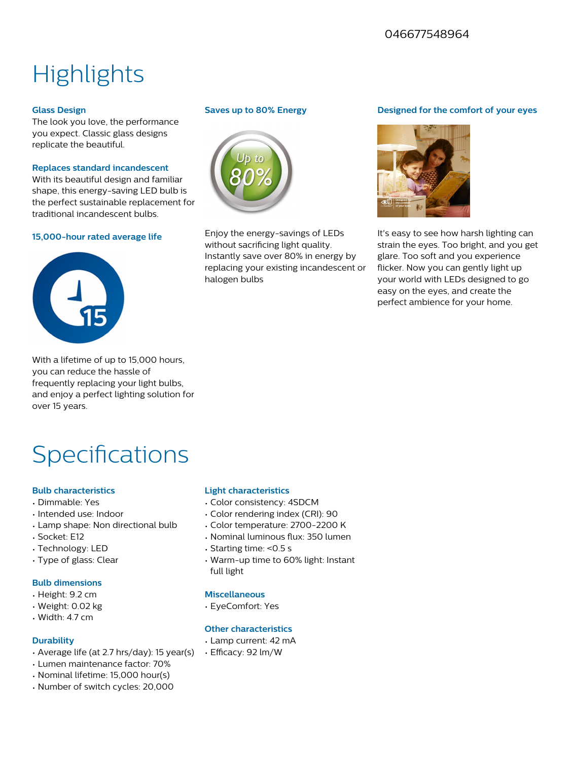#### 046677548964

## **Highlights**

#### **Glass Design**

The look you love, the performance you expect. Classic glass designs replicate the beautiful.

#### **Replaces standard incandescent**

With its beautiful design and familiar shape, this energy-saving LED bulb is the perfect sustainable replacement for traditional incandescent bulbs.

#### **15,000-hour rated average life**



With a lifetime of up to 15,000 hours, you can reduce the hassle of frequently replacing your light bulbs, and enjoy a perfect lighting solution for over 15 years.

### **Specifications**

#### **Bulb characteristics**

- Dimmable: Yes
- Intended use: Indoor
- Lamp shape: Non directional bulb
- Socket: E12
- Technology: LED
- Type of glass: Clear

#### **Bulb dimensions**

- Height: 9.2 cm
- Weight: 0.02 kg
- Width: 4.7 cm

#### **Durability**

- Average life (at 2.7 hrs/day): 15 year(s)
- Lumen maintenance factor: 70%
- Nominal lifetime: 15,000 hour(s)
- Number of switch cycles: 20,000

#### **Saves up to 80% Energy**



Enjoy the energy-savings of LEDs without sacrificing light quality. Instantly save over 80% in energy by replacing your existing incandescent or halogen bulbs

#### **Designed for the comfort of your eyes**



It's easy to see how harsh lighting can strain the eyes. Too bright, and you get glare. Too soft and you experience flicker. Now you can gently light up your world with LEDs designed to go easy on the eyes, and create the perfect ambience for your home.

#### **Light characteristics**

- Color consistency: 4SDCM
- Color rendering index (CRI): 90
- Color temperature: 2700-2200 K
- Nominal luminous flux: 350 lumen
- Starting time: <0.5 s
- Warm-up time to 60% light: Instant full light

#### **Miscellaneous**

• EyeComfort: Yes

#### **Other characteristics**

- Lamp current: 42 mA
- Efficacy: 92 lm/W